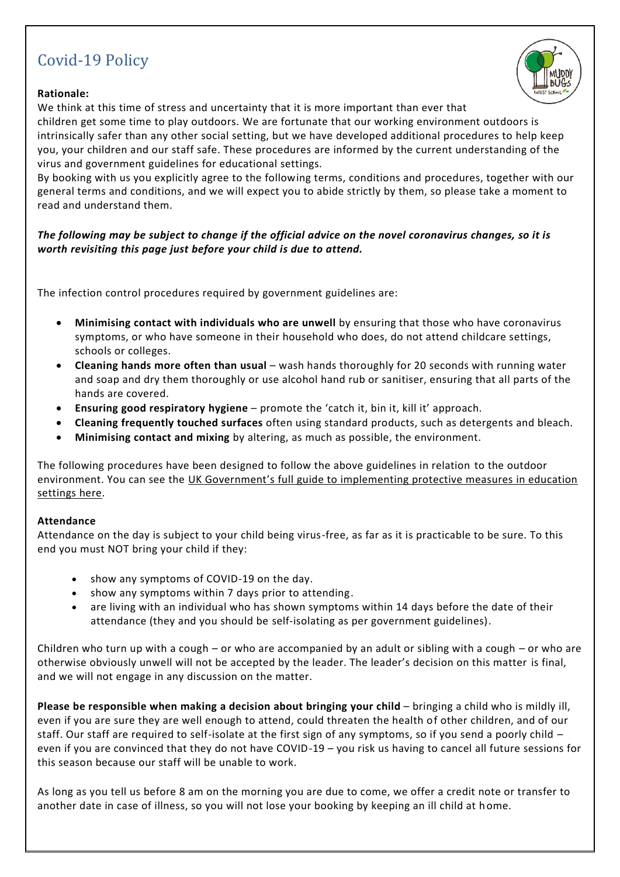# Covid-19 Policy

# **Rationale:**

We think at this time of stress and uncertainty that it is more important than ever that

children get some time to play outdoors. We are fortunate that our working environment outdoors is intrinsically safer than any other social setting, but we have developed additional procedures to help keep you, your children and our staff safe. These procedures are informed by the current understanding of the virus and government guidelines for educational settings.

By booking with us you explicitly agree to the following terms, conditions and procedures, together with our general terms and conditions, and we will expect you to abide strictly by them, so please take a moment to read and understand them.

The following may be subject to change if the official advice on the novel coronavirus changes, so it is *worth revisiting this page just before your child is due to attend.*

The infection control procedures required by government guidelines are:

- **Minimising contact with individuals who are unwell** by ensuring that those who have coronavirus symptoms, or who have someone in their household who does, do not attend childcare settings, schools or colleges.
- **Cleaning hands more often than usual** wash hands thoroughly for 20 seconds with running water and soap and dry them thoroughly or use alcohol hand rub or sanitiser, ensuring that all parts of the hands are covered.
- **Ensuring good respiratory hygiene** promote the 'catch it, bin it, kill it' approach.
- **Cleaning frequently touched surfaces** often using standard products, such as detergents and bleach.
- **Minimising contact and mixing** by altering, as much as possible, the environment.

The following procedures have been designed to follow the above guidelines in relation to the outdoor environment. You can see the UK [Government's](https://www.gov.uk/government/publications/coronavirus-covid-19-implementing-protective-measures-in-education-and-childcare-settings/coronavirus-covid-19-implementing-protective-measures-in-education-and-childcare-settings) full guide to implementing protective measures in education [settings](https://www.gov.uk/government/publications/coronavirus-covid-19-implementing-protective-measures-in-education-and-childcare-settings/coronavirus-covid-19-implementing-protective-measures-in-education-and-childcare-settings) here.

## **Attendance**

Attendance on the day is subject to your child being virus-free, as far as it is practicable to be sure. To this end you must NOT bring your child if they:

- show any symptoms of COVID-19 on the day.
- show any symptoms within 7 days prior to attending.
- are living with an individual who has shown symptoms within 14 days before the date of their attendance (they and you should be self-isolating as per government guidelines).

Children who turn up with a cough – or who are accompanied by an adult or sibling with a cough – or who are otherwise obviously unwell will not be accepted by the leader. The leader's decision on this matter is final, and we will not engage in any discussion on the matter.

**Please be responsible when making a decision about bringing your child** – bringing a child who is mildly ill, even if you are sure they are well enough to attend, could threaten the health of other children, and of our staff. Our staff are required to self-isolate at the first sign of any symptoms, so if you send a poorly child – even if you are convinced that they do not have COVID-19 – you risk us having to cancel all future sessions for this season because our staff will be unable to work.

As long as you tell us before 8 am on the morning you are due to come, we offer a credit note or transfer to another date in case of illness, so you will not lose your booking by keeping an ill child at home.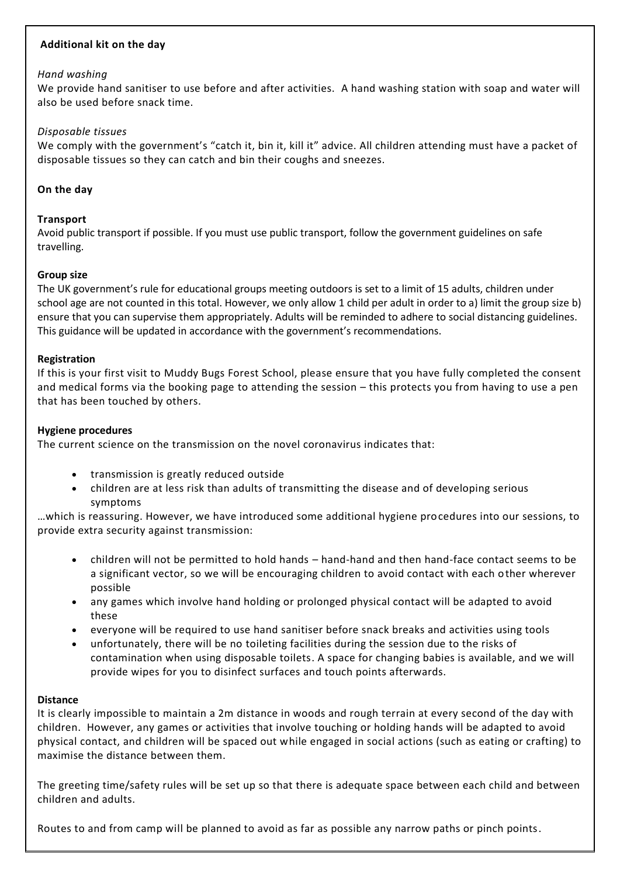# **Additional kit on the day**

#### *Hand washing*

We provide hand sanitiser to use before and after activities. A hand washing station with soap and water will also be used before snack time.

#### *Disposable tissues*

We comply with the government's "catch it, bin it, kill it" advice. All children attending must have a packet of disposable tissues so they can catch and bin their coughs and sneezes.

## **On the day**

## **Transport**

Avoid public transport if possible. If you must use public transport, follow the government guidelines on safe travelling.

## **Group size**

The UK government's rule for educational groups meeting outdoors is set to a limit of 15 adults, children under school age are not counted in this total. However, we only allow 1 child per adult in order to a) limit the group size b) ensure that you can supervise them appropriately. Adults will be reminded to adhere to social distancing guidelines. This guidance will be updated in accordance with the government's recommendations.

#### **Registration**

If this is your first visit to Muddy Bugs Forest School, please ensure that you have fully completed the consent and medical forms via the booking page to attending the session – this protects you from having to use a pen that has been touched by others.

## **Hygiene procedures**

The current science on the transmission on the novel coronavirus indicates that:

- transmission is greatly reduced outside
- children are at less risk than adults of transmitting the disease and of developing serious symptoms

…which is reassuring. However, we have introduced some additional hygiene procedures into our sessions, to provide extra security against transmission:

- children will not be permitted to hold hands hand-hand and then hand-face contact seems to be a significant vector, so we will be encouraging children to avoid contact with each other wherever possible
- any games which involve hand holding or prolonged physical contact will be adapted to avoid these
- everyone will be required to use hand sanitiser before snack breaks and activities using tools
- unfortunately, there will be no toileting facilities during the session due to the risks of contamination when using disposable toilets. A space for changing babies is available, and we will provide wipes for you to disinfect surfaces and touch points afterwards.

## **Distance**

It is clearly impossible to maintain a 2m distance in woods and rough terrain at every second of the day with children. However, any games or activities that involve touching or holding hands will be adapted to avoid physical contact, and children will be spaced out while engaged in social actions (such as eating or crafting) to maximise the distance between them.

The greeting time/safety rules will be set up so that there is adequate space between each child and between children and adults.

Routes to and from camp will be planned to avoid as far as possible any narrow paths or pinch points.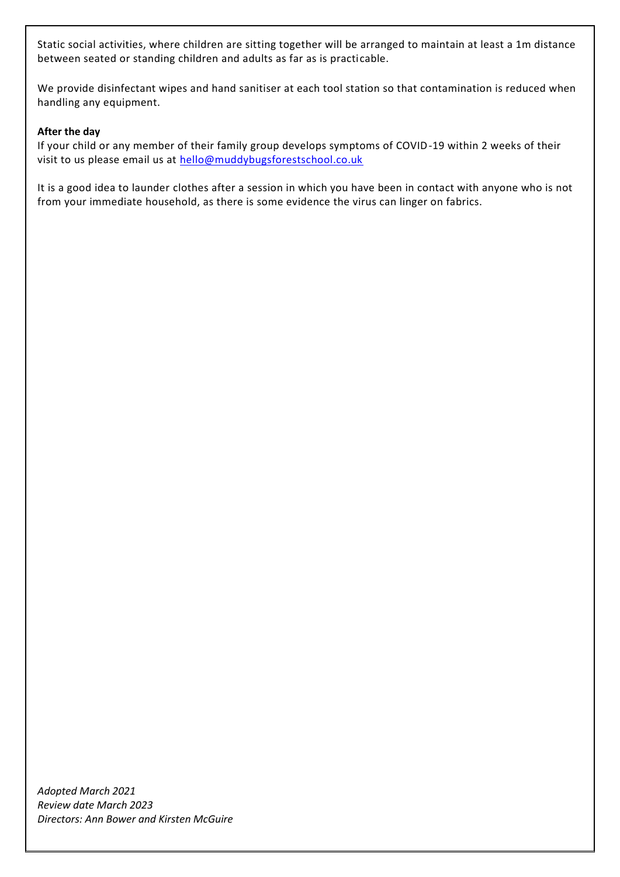Static social activities, where children are sitting together will be arranged to maintain at least a 1m distance between seated or standing children and adults as far as is practicable.

We provide disinfectant wipes and hand sanitiser at each tool station so that contamination is reduced when handling any equipment.

## **After the day**

If your child or any member of their family group develops symptoms of COVID-19 within 2 weeks of their visit to us please email us at [hello@muddybugsforestschool.co.uk](mailto:hello@muddybugsforestschool.co.uk)

It is a good idea to launder clothes after a session in which you have been in contact with anyone who is not from your immediate household, as there is some evidence the virus can linger on fabrics.

*Adopted March 2021 Review date March 2023 Directors: Ann Bower and Kirsten McGuire*